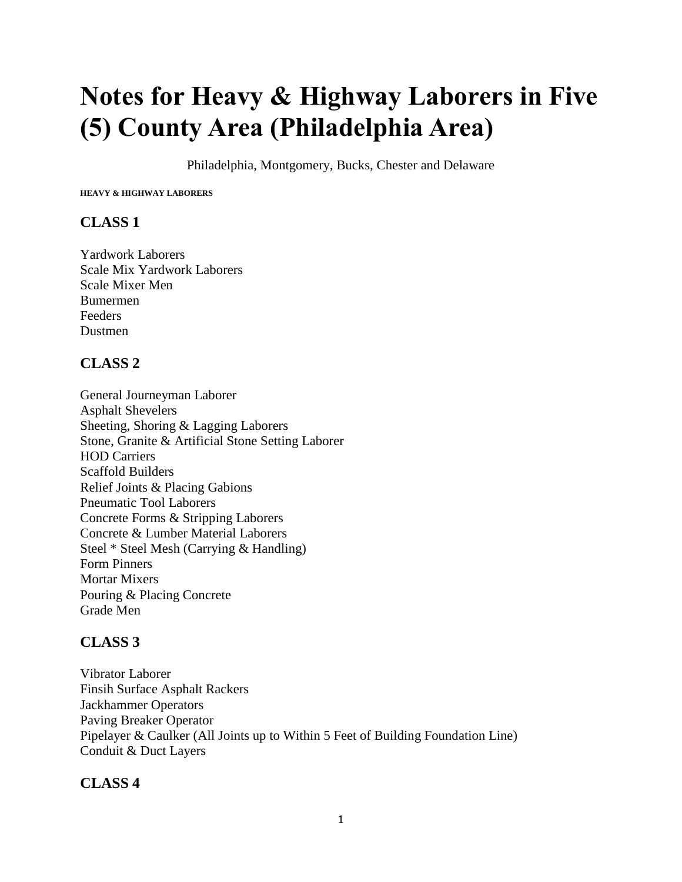# **Notes for Heavy & Highway Laborers in Five (5) County Area (Philadelphia Area)**

Philadelphia, Montgomery, Bucks, Chester and Delaware

**HEAVY & HIGHWAY LABORERS** 

#### **CLASS 1**

Yardwork Laborers Scale Mix Yardwork Laborers Scale Mixer Men Bumermen **Feeders** Dustmen

#### **CLASS 2**

General Journeyman Laborer Asphalt Shevelers Sheeting, Shoring & Lagging Laborers Stone, Granite & Artificial Stone Setting Laborer HOD Carriers Scaffold Builders Relief Joints & Placing Gabions Pneumatic Tool Laborers Concrete Forms & Stripping Laborers Concrete & Lumber Material Laborers Steel \* Steel Mesh (Carrying & Handling) Form Pinners Mortar Mixers Pouring & Placing Concrete Grade Men

# **CLASS 3**

Vibrator Laborer Finsih Surface Asphalt Rackers Jackhammer Operators Paving Breaker Operator Pipelayer & Caulker (All Joints up to Within 5 Feet of Building Foundation Line) Conduit & Duct Layers

#### **CLASS 4**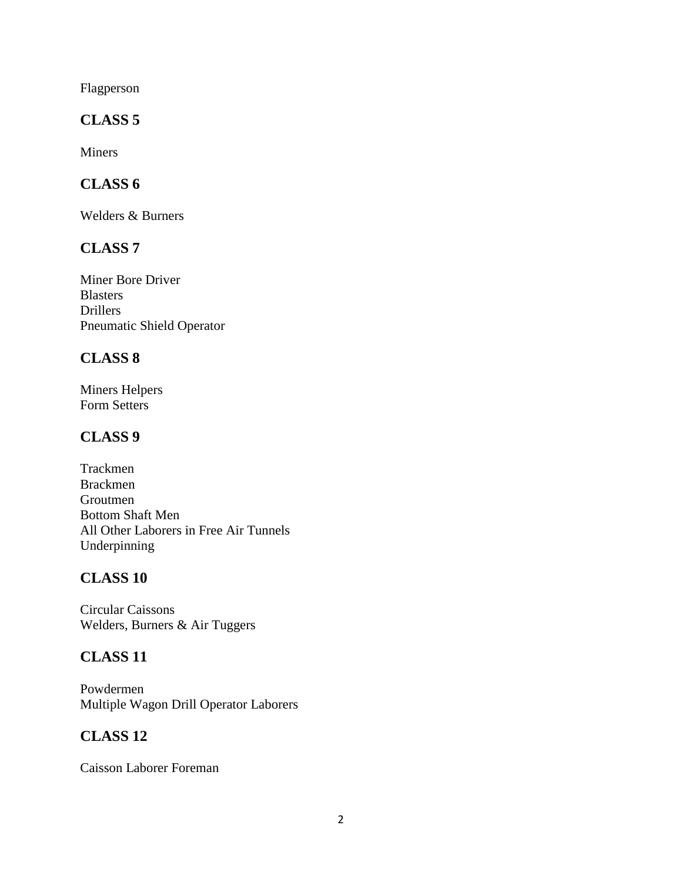Flagperson

#### **CLASS 5**

Miners

## **CLASS 6**

Welders & Burners

#### **CLASS 7**

Miner Bore Driver Blasters Drillers Pneumatic Shield Operator

#### **CLASS 8**

Miners Helpers Form Setters

## **CLASS 9**

Trackmen Brackmen Groutmen Bottom Shaft Men All Other Laborers in Free Air Tunnels Underpinning

# **CLASS 10**

Circular Caissons Welders, Burners & Air Tuggers

#### **CLASS 11**

Powdermen Multiple Wagon Drill Operator Laborers

# **CLASS 12**

Caisson Laborer Foreman